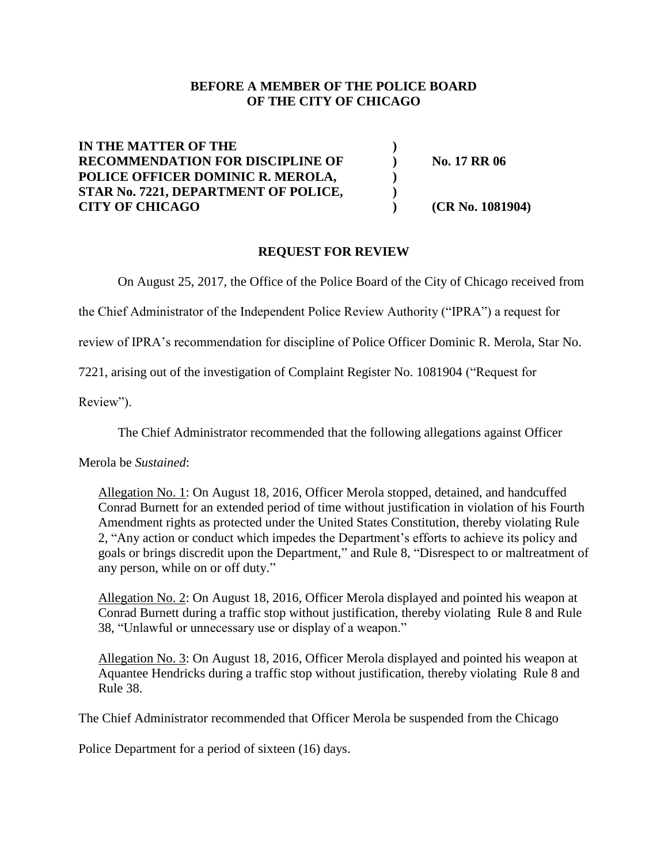# **BEFORE A MEMBER OF THE POLICE BOARD OF THE CITY OF CHICAGO**

**IN THE MATTER OF THE ) RECOMMENDATION FOR DISCIPLINE OF ) No. 17 RR 06 POLICE OFFICER DOMINIC R. MEROLA, ) STAR No. 7221, DEPARTMENT OF POLICE, ) CITY OF CHICAGO ) (CR No. 1081904)**

# **REQUEST FOR REVIEW**

On August 25, 2017, the Office of the Police Board of the City of Chicago received from

the Chief Administrator of the Independent Police Review Authority ("IPRA") a request for

review of IPRA's recommendation for discipline of Police Officer Dominic R. Merola, Star No.

7221, arising out of the investigation of Complaint Register No. 1081904 ("Request for

Review").

The Chief Administrator recommended that the following allegations against Officer

Merola be *Sustained*:

Allegation No. 1: On August 18, 2016, Officer Merola stopped, detained, and handcuffed Conrad Burnett for an extended period of time without justification in violation of his Fourth Amendment rights as protected under the United States Constitution, thereby violating Rule 2, "Any action or conduct which impedes the Department's efforts to achieve its policy and goals or brings discredit upon the Department," and Rule 8, "Disrespect to or maltreatment of any person, while on or off duty."

Allegation No. 2: On August 18, 2016, Officer Merola displayed and pointed his weapon at Conrad Burnett during a traffic stop without justification, thereby violating Rule 8 and Rule 38, "Unlawful or unnecessary use or display of a weapon."

Allegation No. 3: On August 18, 2016, Officer Merola displayed and pointed his weapon at Aquantee Hendricks during a traffic stop without justification, thereby violating Rule 8 and Rule 38.

The Chief Administrator recommended that Officer Merola be suspended from the Chicago

Police Department for a period of sixteen (16) days.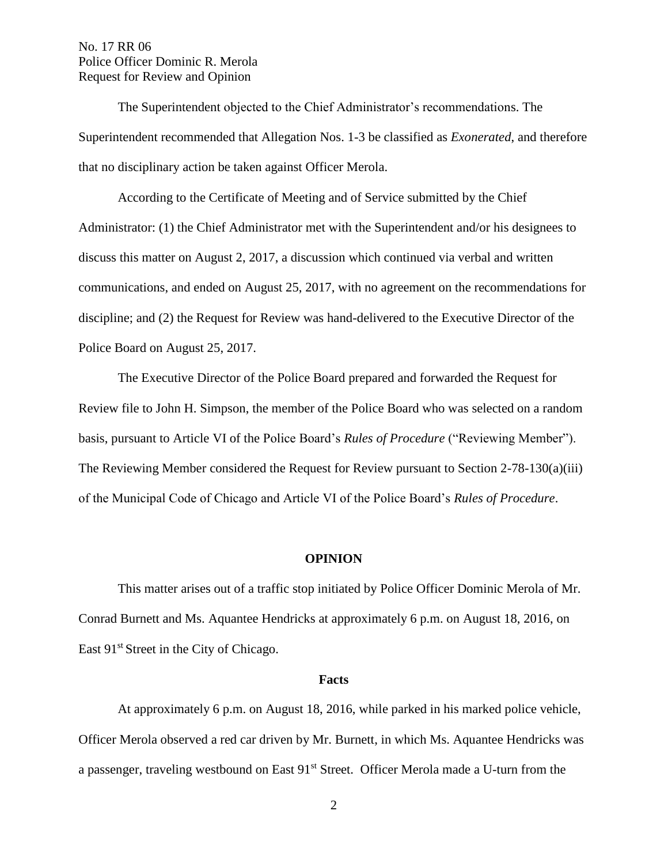The Superintendent objected to the Chief Administrator's recommendations. The Superintendent recommended that Allegation Nos. 1-3 be classified as *Exonerated*, and therefore that no disciplinary action be taken against Officer Merola.

According to the Certificate of Meeting and of Service submitted by the Chief Administrator: (1) the Chief Administrator met with the Superintendent and/or his designees to discuss this matter on August 2, 2017, a discussion which continued via verbal and written communications, and ended on August 25, 2017, with no agreement on the recommendations for discipline; and (2) the Request for Review was hand-delivered to the Executive Director of the Police Board on August 25, 2017.

The Executive Director of the Police Board prepared and forwarded the Request for Review file to John H. Simpson, the member of the Police Board who was selected on a random basis, pursuant to Article VI of the Police Board's *Rules of Procedure* ("Reviewing Member"). The Reviewing Member considered the Request for Review pursuant to Section 2-78-130(a)(iii) of the Municipal Code of Chicago and Article VI of the Police Board's *Rules of Procedure*.

#### **OPINION**

This matter arises out of a traffic stop initiated by Police Officer Dominic Merola of Mr. Conrad Burnett and Ms. Aquantee Hendricks at approximately 6 p.m. on August 18, 2016, on East 91<sup>st</sup> Street in the City of Chicago.

#### **Facts**

At approximately 6 p.m. on August 18, 2016, while parked in his marked police vehicle, Officer Merola observed a red car driven by Mr. Burnett, in which Ms. Aquantee Hendricks was a passenger, traveling westbound on East 91<sup>st</sup> Street. Officer Merola made a U-turn from the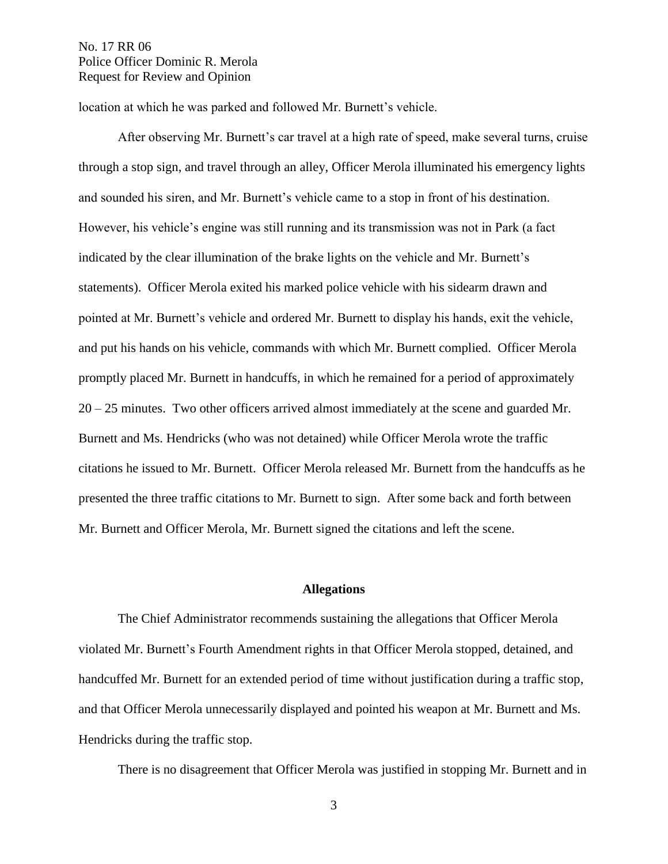location at which he was parked and followed Mr. Burnett's vehicle.

After observing Mr. Burnett's car travel at a high rate of speed, make several turns, cruise through a stop sign, and travel through an alley, Officer Merola illuminated his emergency lights and sounded his siren, and Mr. Burnett's vehicle came to a stop in front of his destination. However, his vehicle's engine was still running and its transmission was not in Park (a fact indicated by the clear illumination of the brake lights on the vehicle and Mr. Burnett's statements). Officer Merola exited his marked police vehicle with his sidearm drawn and pointed at Mr. Burnett's vehicle and ordered Mr. Burnett to display his hands, exit the vehicle, and put his hands on his vehicle, commands with which Mr. Burnett complied. Officer Merola promptly placed Mr. Burnett in handcuffs, in which he remained for a period of approximately 20 – 25 minutes. Two other officers arrived almost immediately at the scene and guarded Mr. Burnett and Ms. Hendricks (who was not detained) while Officer Merola wrote the traffic citations he issued to Mr. Burnett. Officer Merola released Mr. Burnett from the handcuffs as he presented the three traffic citations to Mr. Burnett to sign. After some back and forth between Mr. Burnett and Officer Merola, Mr. Burnett signed the citations and left the scene.

## **Allegations**

The Chief Administrator recommends sustaining the allegations that Officer Merola violated Mr. Burnett's Fourth Amendment rights in that Officer Merola stopped, detained, and handcuffed Mr. Burnett for an extended period of time without justification during a traffic stop, and that Officer Merola unnecessarily displayed and pointed his weapon at Mr. Burnett and Ms. Hendricks during the traffic stop.

There is no disagreement that Officer Merola was justified in stopping Mr. Burnett and in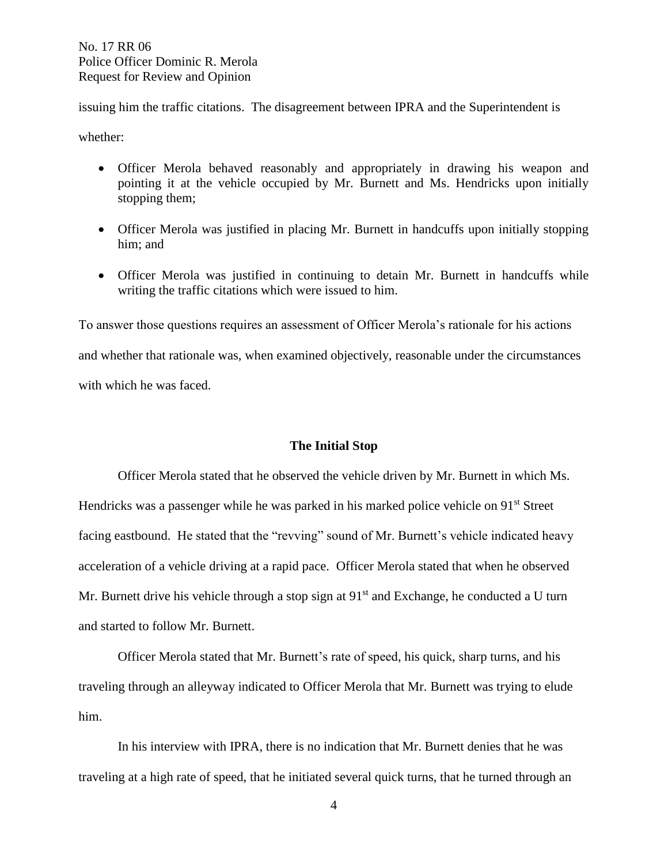issuing him the traffic citations. The disagreement between IPRA and the Superintendent is

whether:

- Officer Merola behaved reasonably and appropriately in drawing his weapon and pointing it at the vehicle occupied by Mr. Burnett and Ms. Hendricks upon initially stopping them;
- Officer Merola was justified in placing Mr. Burnett in handcuffs upon initially stopping him; and
- Officer Merola was justified in continuing to detain Mr. Burnett in handcuffs while writing the traffic citations which were issued to him.

To answer those questions requires an assessment of Officer Merola's rationale for his actions and whether that rationale was, when examined objectively, reasonable under the circumstances with which he was faced.

## **The Initial Stop**

Officer Merola stated that he observed the vehicle driven by Mr. Burnett in which Ms. Hendricks was a passenger while he was parked in his marked police vehicle on 91<sup>st</sup> Street facing eastbound. He stated that the "revving" sound of Mr. Burnett's vehicle indicated heavy acceleration of a vehicle driving at a rapid pace. Officer Merola stated that when he observed Mr. Burnett drive his vehicle through a stop sign at  $91<sup>st</sup>$  and Exchange, he conducted a U turn and started to follow Mr. Burnett.

Officer Merola stated that Mr. Burnett's rate of speed, his quick, sharp turns, and his traveling through an alleyway indicated to Officer Merola that Mr. Burnett was trying to elude him.

In his interview with IPRA, there is no indication that Mr. Burnett denies that he was traveling at a high rate of speed, that he initiated several quick turns, that he turned through an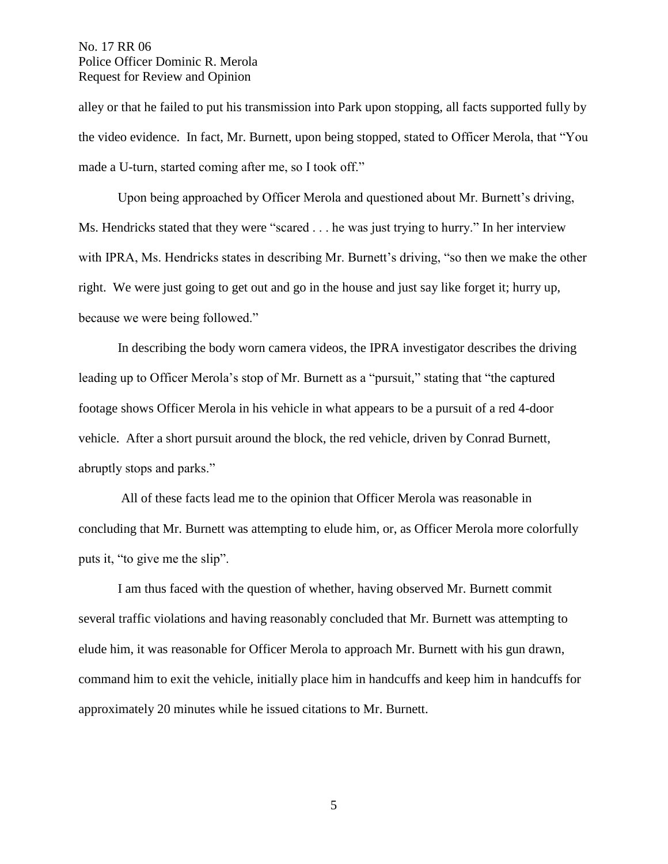alley or that he failed to put his transmission into Park upon stopping, all facts supported fully by the video evidence. In fact, Mr. Burnett, upon being stopped, stated to Officer Merola, that "You made a U-turn, started coming after me, so I took off."

Upon being approached by Officer Merola and questioned about Mr. Burnett's driving, Ms. Hendricks stated that they were "scared . . . he was just trying to hurry." In her interview with IPRA, Ms. Hendricks states in describing Mr. Burnett's driving, "so then we make the other right. We were just going to get out and go in the house and just say like forget it; hurry up, because we were being followed."

In describing the body worn camera videos, the IPRA investigator describes the driving leading up to Officer Merola's stop of Mr. Burnett as a "pursuit," stating that "the captured footage shows Officer Merola in his vehicle in what appears to be a pursuit of a red 4-door vehicle. After a short pursuit around the block, the red vehicle, driven by Conrad Burnett, abruptly stops and parks."

All of these facts lead me to the opinion that Officer Merola was reasonable in concluding that Mr. Burnett was attempting to elude him, or, as Officer Merola more colorfully puts it, "to give me the slip".

I am thus faced with the question of whether, having observed Mr. Burnett commit several traffic violations and having reasonably concluded that Mr. Burnett was attempting to elude him, it was reasonable for Officer Merola to approach Mr. Burnett with his gun drawn, command him to exit the vehicle, initially place him in handcuffs and keep him in handcuffs for approximately 20 minutes while he issued citations to Mr. Burnett.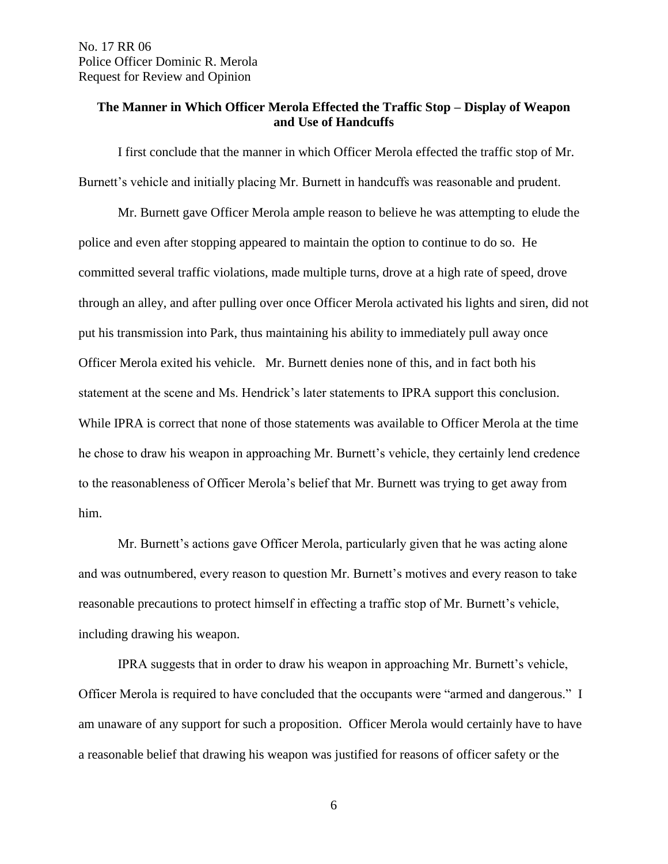## **The Manner in Which Officer Merola Effected the Traffic Stop – Display of Weapon and Use of Handcuffs**

I first conclude that the manner in which Officer Merola effected the traffic stop of Mr. Burnett's vehicle and initially placing Mr. Burnett in handcuffs was reasonable and prudent.

Mr. Burnett gave Officer Merola ample reason to believe he was attempting to elude the police and even after stopping appeared to maintain the option to continue to do so. He committed several traffic violations, made multiple turns, drove at a high rate of speed, drove through an alley, and after pulling over once Officer Merola activated his lights and siren, did not put his transmission into Park, thus maintaining his ability to immediately pull away once Officer Merola exited his vehicle. Mr. Burnett denies none of this, and in fact both his statement at the scene and Ms. Hendrick's later statements to IPRA support this conclusion. While IPRA is correct that none of those statements was available to Officer Merola at the time he chose to draw his weapon in approaching Mr. Burnett's vehicle, they certainly lend credence to the reasonableness of Officer Merola's belief that Mr. Burnett was trying to get away from him.

Mr. Burnett's actions gave Officer Merola, particularly given that he was acting alone and was outnumbered, every reason to question Mr. Burnett's motives and every reason to take reasonable precautions to protect himself in effecting a traffic stop of Mr. Burnett's vehicle, including drawing his weapon.

IPRA suggests that in order to draw his weapon in approaching Mr. Burnett's vehicle, Officer Merola is required to have concluded that the occupants were "armed and dangerous." I am unaware of any support for such a proposition. Officer Merola would certainly have to have a reasonable belief that drawing his weapon was justified for reasons of officer safety or the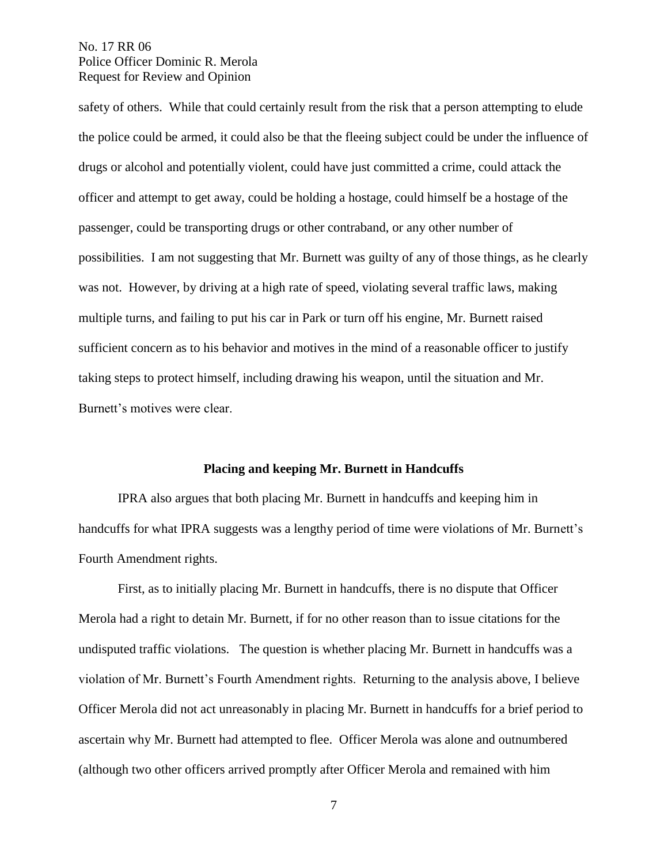safety of others. While that could certainly result from the risk that a person attempting to elude the police could be armed, it could also be that the fleeing subject could be under the influence of drugs or alcohol and potentially violent, could have just committed a crime, could attack the officer and attempt to get away, could be holding a hostage, could himself be a hostage of the passenger, could be transporting drugs or other contraband, or any other number of possibilities. I am not suggesting that Mr. Burnett was guilty of any of those things, as he clearly was not. However, by driving at a high rate of speed, violating several traffic laws, making multiple turns, and failing to put his car in Park or turn off his engine, Mr. Burnett raised sufficient concern as to his behavior and motives in the mind of a reasonable officer to justify taking steps to protect himself, including drawing his weapon, until the situation and Mr. Burnett's motives were clear.

### **Placing and keeping Mr. Burnett in Handcuffs**

IPRA also argues that both placing Mr. Burnett in handcuffs and keeping him in handcuffs for what IPRA suggests was a lengthy period of time were violations of Mr. Burnett's Fourth Amendment rights.

First, as to initially placing Mr. Burnett in handcuffs, there is no dispute that Officer Merola had a right to detain Mr. Burnett, if for no other reason than to issue citations for the undisputed traffic violations. The question is whether placing Mr. Burnett in handcuffs was a violation of Mr. Burnett's Fourth Amendment rights. Returning to the analysis above, I believe Officer Merola did not act unreasonably in placing Mr. Burnett in handcuffs for a brief period to ascertain why Mr. Burnett had attempted to flee. Officer Merola was alone and outnumbered (although two other officers arrived promptly after Officer Merola and remained with him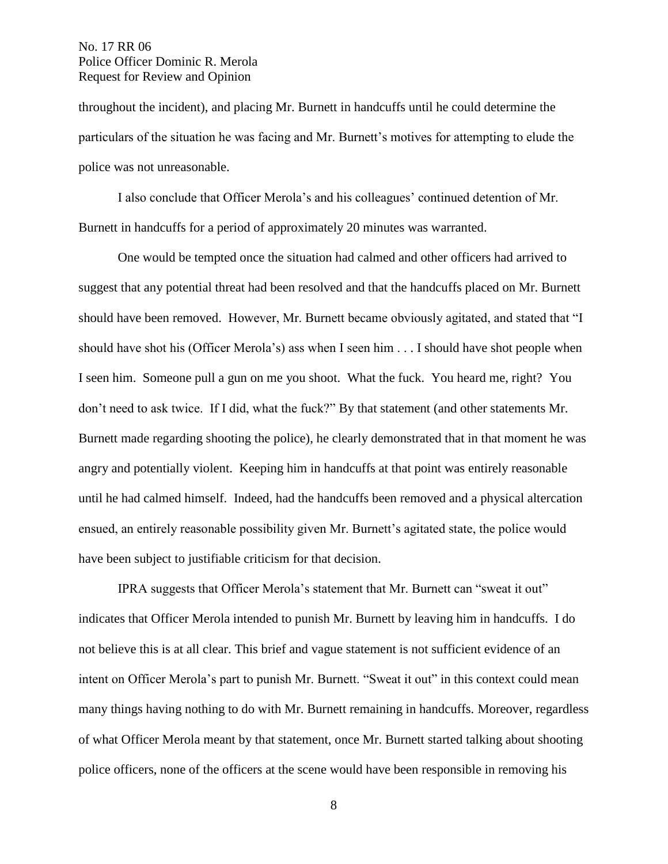throughout the incident), and placing Mr. Burnett in handcuffs until he could determine the particulars of the situation he was facing and Mr. Burnett's motives for attempting to elude the police was not unreasonable.

I also conclude that Officer Merola's and his colleagues' continued detention of Mr. Burnett in handcuffs for a period of approximately 20 minutes was warranted.

One would be tempted once the situation had calmed and other officers had arrived to suggest that any potential threat had been resolved and that the handcuffs placed on Mr. Burnett should have been removed. However, Mr. Burnett became obviously agitated, and stated that "I should have shot his (Officer Merola's) ass when I seen him . . . I should have shot people when I seen him. Someone pull a gun on me you shoot. What the fuck. You heard me, right? You don't need to ask twice. If I did, what the fuck?" By that statement (and other statements Mr. Burnett made regarding shooting the police), he clearly demonstrated that in that moment he was angry and potentially violent. Keeping him in handcuffs at that point was entirely reasonable until he had calmed himself. Indeed, had the handcuffs been removed and a physical altercation ensued, an entirely reasonable possibility given Mr. Burnett's agitated state, the police would have been subject to justifiable criticism for that decision.

IPRA suggests that Officer Merola's statement that Mr. Burnett can "sweat it out" indicates that Officer Merola intended to punish Mr. Burnett by leaving him in handcuffs. I do not believe this is at all clear. This brief and vague statement is not sufficient evidence of an intent on Officer Merola's part to punish Mr. Burnett. "Sweat it out" in this context could mean many things having nothing to do with Mr. Burnett remaining in handcuffs. Moreover, regardless of what Officer Merola meant by that statement, once Mr. Burnett started talking about shooting police officers, none of the officers at the scene would have been responsible in removing his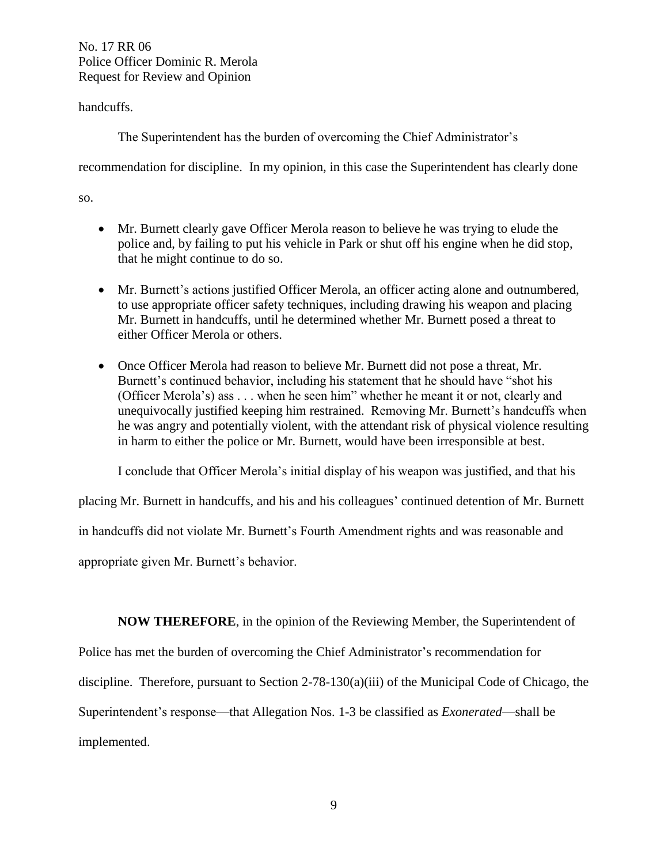handcuffs.

The Superintendent has the burden of overcoming the Chief Administrator's

recommendation for discipline. In my opinion, in this case the Superintendent has clearly done

so.

- Mr. Burnett clearly gave Officer Merola reason to believe he was trying to elude the police and, by failing to put his vehicle in Park or shut off his engine when he did stop, that he might continue to do so.
- Mr. Burnett's actions justified Officer Merola, an officer acting alone and outnumbered, to use appropriate officer safety techniques, including drawing his weapon and placing Mr. Burnett in handcuffs, until he determined whether Mr. Burnett posed a threat to either Officer Merola or others.
- Once Officer Merola had reason to believe Mr. Burnett did not pose a threat, Mr. Burnett's continued behavior, including his statement that he should have "shot his (Officer Merola's) ass . . . when he seen him" whether he meant it or not, clearly and unequivocally justified keeping him restrained. Removing Mr. Burnett's handcuffs when he was angry and potentially violent, with the attendant risk of physical violence resulting in harm to either the police or Mr. Burnett, would have been irresponsible at best.

I conclude that Officer Merola's initial display of his weapon was justified, and that his

placing Mr. Burnett in handcuffs, and his and his colleagues' continued detention of Mr. Burnett

in handcuffs did not violate Mr. Burnett's Fourth Amendment rights and was reasonable and

appropriate given Mr. Burnett's behavior.

**NOW THEREFORE**, in the opinion of the Reviewing Member, the Superintendent of

Police has met the burden of overcoming the Chief Administrator's recommendation for

discipline. Therefore, pursuant to Section 2-78-130(a)(iii) of the Municipal Code of Chicago, the

Superintendent's response—that Allegation Nos. 1-3 be classified as *Exonerated*—shall be

implemented.